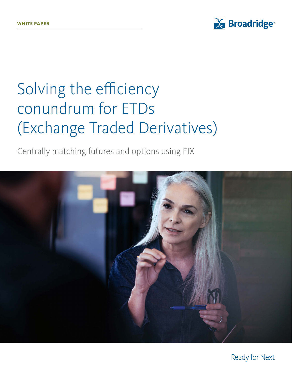

# Solving the efficiency conundrum for ETDs (Exchange Traded Derivatives)

Centrally matching futures and options using FIX



Ready for Next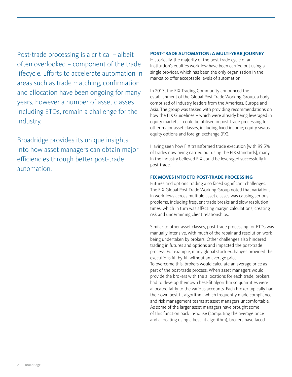Post-trade processing is a critical – albeit often overlooked – component of the trade lifecycle. Efforts to accelerate automation in areas such as trade matching, confirmation and allocation have been ongoing for many years, however a number of asset classes including ETDs, remain a challenge for the industry.

Broadridge provides its unique insights into how asset managers can obtain major efficiencies through better post-trade automation.

## **POST-TRADE AUTOMATION: A MULTI-YEAR JOURNEY**

Historically, the majority of the post-trade cycle of an institution's equities workflow have been carried out using a single provider, which has been the only organisation in the market to offer acceptable levels of automation.

In 2013, the FIX Trading Community announced the establishment of the Global Post-Trade Working Group, a body comprised of industry leaders from the Americas, Europe and Asia. The group was tasked with providing recommendations on how the FIX Guidelines – which were already being leveraged in equity markets – could be utilised in post-trade processing for other major asset classes, including fixed income; equity swaps, equity options and foreign exchange (FX).

Having seen how FIX transformed trade execution [with 99.5% of trades now being carried out using the FIX standards], many in the industry believed FIX could be leveraged successfully in post-trade.

## **FIX MOVES INTO ETD POST-TRADE PROCESSING**

Futures and options trading also faced significant challenges. The FIX Global Post-Trade Working Group noted that variations in workflows across multiple asset classes was causing serious problems, including frequent trade breaks and slow resolution times, which in turn was affecting margin calculations, creating risk and undermining client relationships.

Similar to other asset classes, post-trade processing for ETDs was manually intensive, with much of the repair and resolution work being undertaken by brokers. Other challenges also hindered trading in futures and options and impacted the post-trade process. For example, many global stock exchanges provided the executions fill-by-fill without an average price. To overcome this, brokers would calculate an average price as part of the post-trade process. When asset managers would provide the brokers with the allocations for each trade, brokers had to develop their own best-fit algorithm so quantities were allocated fairly to the various accounts. Each broker typically had their own best-fit algorithm, which frequently made compliance and risk management teams at asset managers uncomfortable. As some of the larger asset managers have brought some of this function back in-house (computing the average price and allocating using a best-fit algorithm), brokers have faced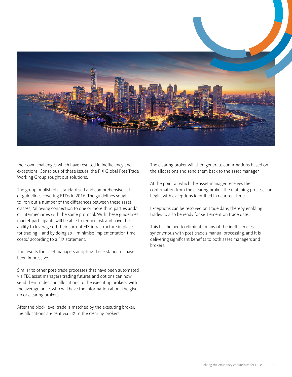

their own challenges which have resulted in inefficiency and exceptions. Conscious of these issues, the FIX Global Post-Trade Working Group sought out solutions.

The group published a standardised and comprehensive set of guidelines covering ETDs in 2016. The guidelines sought to iron out a number of the differences between these asset classes; "allowing connection to one or more third parties and/ or intermediaries with the same protocol. With these guidelines, market participants will be able to reduce risk and have the ability to leverage off their current FIX infrastructure in place for trading – and by doing so – minimise implementation time costs," according to a FIX statement.

The results for asset managers adopting these standards have been impressive.

Similar to other post-trade processes that have been automated via FIX, asset managers trading futures and options can now send their trades and allocations to the executing brokers, with the average price, who will have the information about the giveup or clearing brokers.

After the block level trade is matched by the executing broker, the allocations are sent via FIX to the clearing brokers.

The clearing broker will then generate confirmations based on the allocations and send them back to the asset manager.

At the point at which the asset manager receives the confirmation from the clearing broker, the matching process can begin, with exceptions identified in near real-time.

Exceptions can be resolved on trade date, thereby enabling trades to also be ready for settlement on trade date.

This has helped to eliminate many of the inefficiencies synonymous with post-trade's manual processing, and it is delivering significant benefits to both asset managers and brokers.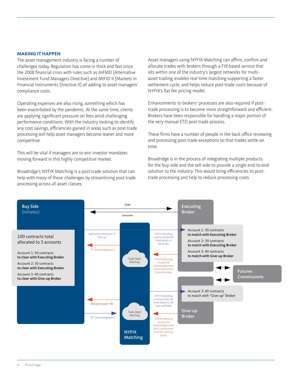#### **MAKING IT HAPPEN**

The asset management industry is facing a number of challenges today. Regulation has come in thick and fast since the 2008 financial crisis with rules such as AIFMD [Alternative Investment Fund Managers Directive] and MIFID II [Markets in Financial Instruments Directive II] all adding to asset managers' compliance costs.

Operating expenses are also rising, something which has been exacerbated by the pandemic. At the same time, clients are applying significant pressure on fees amid challenging performance conditions. With the industry looking to identify any cost savings, efficiencies gained in areas such as post-trade processing will help asset managers become leaner and more competitive.

This will be vital if managers are to win investor mandates moving forward in this highly competitive market.

Broadridge's NYFIX Matching is a post-trade solution that can help with many of these challenges by streamlining post-trade processing across all asset classes.

Asset managers using NYFIX Matching can affirm, confirm and allocate trades with brokers through a FIX-based service that sits within one of the industry's largest networks for multiasset trading, enables real-time matching supporting a faster settlement cycle, and helps reduce post-trade costs because of NYFIX's flat fee pricing model.

Enhancements to brokers' processes are also required if posttrade processing is to become more straightforward and efficient. Brokers have been responsible for handling a major portion of the very manual ETD post-trade process.

These firms have a number of people in the back office reviewing and processing post-trade exceptions so that trades settle on time.

Broadridge is in the process of integrating multiple products for the buy-side and the sell-side to provide a single end-to-end solution to the industry. This would bring efficiencies to posttrade processing and help to reduce processing costs.